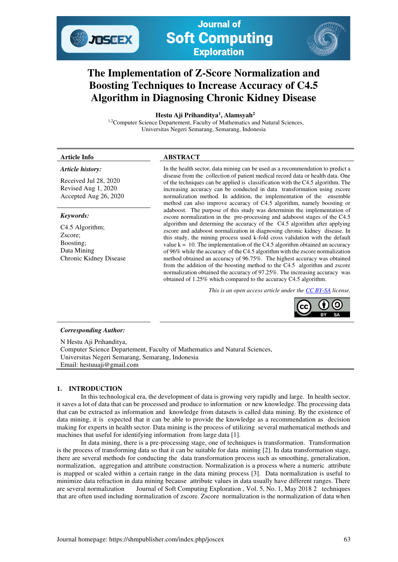# **The Implementation of Z-Score Normalization and Boosting Techniques to Increase Accuracy of C4.5 Algorithm in Diagnosing Chronic Kidney Disease**

 **Hestu Aji Prihanditya<sup>1</sup> , Alamsyah<sup>2</sup>**

<sup>1,2</sup>Computer Science Departement, Faculty of Mathematics and Natural Sciences, Universitas Negeri Semarang, Semarang, Indonesia

# **Article Info ABSTRACT**

# *Article history:*

Received Jul 28, 2020 Revised Aug 1, 2020 Accepted Aug 26, 2020

JOSEEX

# *Keywords:*

C4.5 Algorithm; Zscore; Boosting; Data Mining Chronic Kidney Disease

In the health sector, data mining can be used as a recommendation to predict a disease from the collection of patient medical record data or health data. One of the techniques can be applied is classification with the C4.5 algorithm. The increasing accuracy can be conducted in data transformation using zscore normalization method. In addition, the implementation of the ensemble method can also improve accuracy of C4.5 algorithm, namely boosting or adaboost. The purpose of this study was determinin the implementation of zscore normalization in the pre-processing and adaboost stages of the C4.5 algorithm and determing the accuracy of the C4.5 algorithm after applying zscore and adaboost normalization in diagnosing chronic kidney disease. In this study, the mining process used k-fold cross validation with the default value  $k = 10$ . The implementation of the C4.5 algorithm obtained an accuracy of 96% while the accuracy of the C4.5 algorithm with the zscore normalization method obtained an accuracy of 96.75%. The highest accuracy was obtained from the addition of the boosting method to the C4.5 algorithm and zscore normalization obtained the accuracy of 97.25%. The increasing accuracy was obtained of 1.25% which compared to the accuracy C4.5 algorithm.

*This is an open access article under th[e CC BY-SA](https://creativecommons.org/licenses/by-sa/4.0/) license.* 



#### *Corresponding Author:*

N Hestu Aji Prihanditya, Computer Science Departement, Faculty of Mathematics and Natural Sciences, Universitas Negeri Semarang, Semarang, Indonesia Email: hestuuaji@gmail.com

### **1. INTRODUCTION**

 In this technological era, the development of data is growing very rapidly and large. In health sector, it saves a lot of data that can be processed and produce to information or new knowledge. The processing data that can be extracted as information and knowledge from datasets is called data mining. By the existence of data mining, it is expected that it can be able to provide the knowledge as a recommendation as decision making for experts in health sector. Data mining is the process of utilizing several mathematical methods and machines that useful for identifying information from large data [1].

In data mining, there is a pre-processing stage, one of techniques is transformation. Transformation is the process of transforming data so that it can be suitable for data mining [2]. In data transformation stage, there are several methods for conducting the data transformation process such as smoothing, generalization, normalization, aggregation and attribute construction. Normalization is a process where a numeric attribute is mapped or scaled within a certain range in the data mining process [3]. Data normalization is useful to minimize data refraction in data mining because attribute values in data usually have different ranges. There are several normalization Journal of Soft Computing Exploration , Vol. 5, No. 1, May 2018 2 techniques that are often used including normalization of zscore. Zscore normalization is the normalization of data when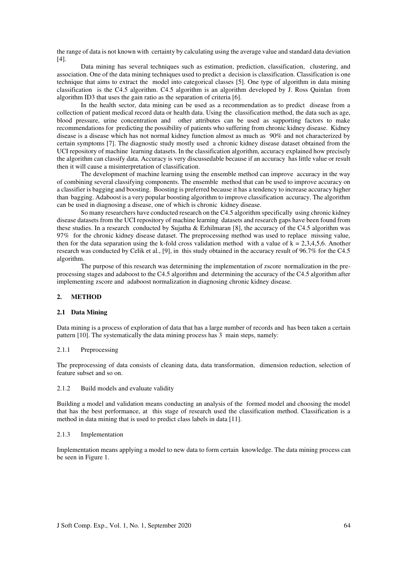the range of data is not known with certainty by calculating using the average value and standard data deviation [4].

Data mining has several techniques such as estimation, prediction, classification, clustering, and association. One of the data mining techniques used to predict a decision is classification. Classification is one technique that aims to extract the model into categorical classes [5]. One type of algorithm in data mining classification is the C4.5 algorithm. C4.5 algorithm is an algorithm developed by J. Ross Quinlan from algorithm ID3 that uses the gain ratio as the separation of criteria [6].

In the health sector, data mining can be used as a recommendation as to predict disease from a collection of patient medical record data or health data. Using the classification method, the data such as age, blood pressure, urine concentration and other attributes can be used as supporting factors to make recommendations for predicting the possibility of patients who suffering from chronic kidney disease. Kidney disease is a disease which has not normal kidney function almost as much as 90% and not characterized by certain symptoms [7]. The diagnostic study mostly used a chronic kidney disease dataset obtained from the UCI repository of machine learning datasets. In the classification algorithm, accuracy explained how precisely the algorithm can classify data. Accuracy is very discussedable because if an accuracy has little value or result then it will cause a misinterpretation of classification.

The development of machine learning using the ensemble method can improve accuracy in the way of combining several classifying components. The ensemble method that can be used to improve accuracy on a classifier is bagging and boosting. Boosting is preferred because it has a tendency to increase accuracy higher than bagging. Adaboost is a very popular boosting algorithm to improve classification accuracy. The algorithm can be used in diagnosing a disease, one of which is chronic kidney disease.

So many researchers have conducted research on the C4.5 algorithm specifically using chronic kidney disease datasets from the UCI repository of machine learning datasets and research gaps have been found from these studies. In a research conducted by Sujatha & Ezhilmaran [8], the accuracy of the C4.5 algorithm was 97% for the chronic kidney disease dataset. The preprocessing method was used to replace missing value, then for the data separation using the k-fold cross validation method with a value of  $k = 2,3,4,5,6$ . Another research was conducted by Celik et al., [9], in this study obtained in the accuracy result of 96.7% for the C4.5 algorithm.

The purpose of this research was determining the implementation of zscore normalization in the preprocessing stages and adaboost to the C4.5 algorithm and determining the accuracy of the C4.5 algorithm after implementing zscore and adaboost normalization in diagnosing chronic kidney disease.

## **2. METHOD**

#### **2.1 Data Mining**

Data mining is a process of exploration of data that has a large number of records and has been taken a certain pattern [10]. The systematically the data mining process has 3 main steps, namely:

#### 2.1.1 Preprocessing

The preprocessing of data consists of cleaning data, data transformation, dimension reduction, selection of feature subset and so on.

#### 2.1.2 Build models and evaluate validity

Building a model and validation means conducting an analysis of the formed model and choosing the model that has the best performance, at this stage of research used the classification method. Classification is a method in data mining that is used to predict class labels in data [11].

#### 2.1.3 Implementation

Implementation means applying a model to new data to form certain knowledge. The data mining process can be seen in Figure 1.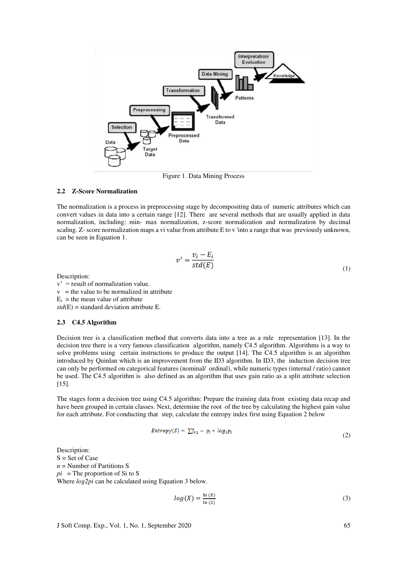

Figure 1. Data Mining Process

#### **2.2 Z-Score Normalization**

The normalization is a process in preprocessing stage by decompositing data of numeric attributes which can convert values in data into a certain range [12]. There are several methods that are usually applied in data normalization, including: min- max normalization, z-score normalization and normalization by decimal scaling. Z- score normalization maps a vi value from attribute E to v 'into a range that was previously unknown, can be seen in Equation 1.

$$
v' = \frac{v_i - E_i}{std(E)}
$$
(1)

Description:

 $v'$  = result of normalization value.  $v =$  the value to be normalized in attribute  $E_i$  = the mean value of attribute *std*(E) = standard deviation attribute E.

#### **2.3 C4.5 Algorithm**

Decision tree is a classification method that converts data into a tree as a rule representation [13]. In the decision tree there is a very famous classification algorithm, namely C4.5 algorithm. Algorithms is a way to solve problems using certain instructions to produce the output [14]. The C4.5 algorithm is an algorithm introduced by Quinlan which is an improvement from the ID3 algorithm. In ID3, the induction decision tree can only be performed on categorical features (nominal/ ordinal), while numeric types (internal / ratio) cannot be used. The C4.5 algorithm is also defined as an algorithm that uses gain ratio as a split attribute selection [15].

The stages form a decision tree using C4.5 algorithm: Prepare the training data from existing data recap and have been grouped in certain classes. Next, determine the root of the tree by calculating the highest gain value for each attribute. For conducting that step, calculate the entropy index first using Equation 2 below

$$
Entropy(S) = \sum_{i=1}^{n} -p_i * log_2 p_i
$$
\n(2)

Description: S = Set of Case *n* = Number of Partitions S  $pi =$ The proportion of Si to S Where *log2pi* can be calculated using Equation 3 below.

$$
log(X) = \frac{\ln(X)}{\ln(2)}\tag{3}
$$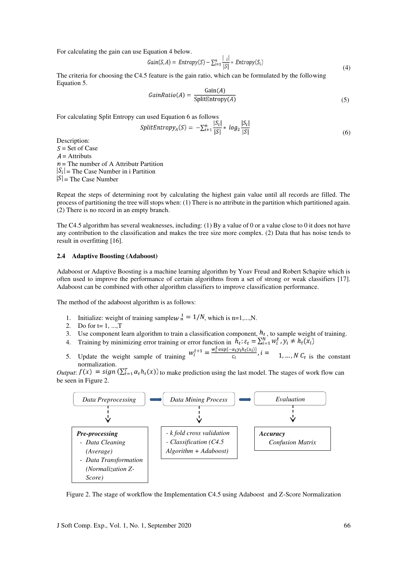For calculating the gain can use Equation 4 below.

$$
Gain(S, A) = Entropy(S) - \sum_{i=1}^{n} \frac{|i|}{|S|} * Entropy(S_i)
$$
\n(4)

The criteria for choosing the C4.5 feature is the gain ratio, which can be formulated by the following Equation 5.

$$
GainRatio(A) = \frac{Gain(A)}{SplitEntropy(A)}
$$
\n(5)

For calculating Split Entropy can used Equation 6 as follows

$$
SplitEntropy_A(S) = -\sum_{i=1}^{n} \frac{|S_i|}{|S|} * log_2 \frac{|S_i|}{|S|}
$$
\n
$$
(6)
$$

Description:  $S =$  Set of Case  $A =$  Attributs  $n =$  The number of A Attributr Partition  $|S_i|$  = The Case Number in i Partition  $|S|$  = The Case Number

Repeat the steps of determining root by calculating the highest gain value until all records are filled. The process of partitioning the tree will stops when: (1) There is no attribute in the partition which partitioned again. (2) There is no record in an empty branch.

The C4.5 algorithm has several weaknesses, including: (1) By a value of 0 or a value close to 0 it does not have any contribution to the classification and makes the tree size more complex. (2) Data that has noise tends to result in overfitting [16].

#### **2.4 Adaptive Boosting (Adaboost)**

Adaboost or Adaptive Boosting is a machine learning algorithm by Yoav Freud and Robert Schapire which is often used to improve the performance of certain algorithms from a set of strong or weak classifiers [17]. Adaboost can be combined with other algorithm classifiers to improve classification performance.

The method of the adaboost algorithm is as follows:

- 1. Initialize: weight of training samplew  $n^1 = 1/N$ , which is n=1,...,N.
- 2. Do for  $t = 1, ..., T$
- 3. Use component learn algorithm to train a classification component,  $h_t$ , to sample weight of training.
- 4. Training by minimizing error training or error function in  $h_t$ :  $\varepsilon_t = \sum_{i=1}^{N} w_i^t$ ,  $y_i \neq h_t(x_i)$
- 5. Update the weight sample of training  $w_i^{t+1} = \frac{w_i^t \exp(-\alpha_t y_i h_t(x_i))}{c_t}$ ,  $i = 1, ..., N$ ,  $C_t$  is the constant normalization normalization.

*Output*:  $f(x) = sign(\sum_{t=1}^{T} \alpha_t h_t(x))$  to make prediction using the last model. The stages of work flow can be seen in Figure 2.



Figure 2. The stage of workflow the Implementation C4.5 using Adaboost and Z-Score Normalization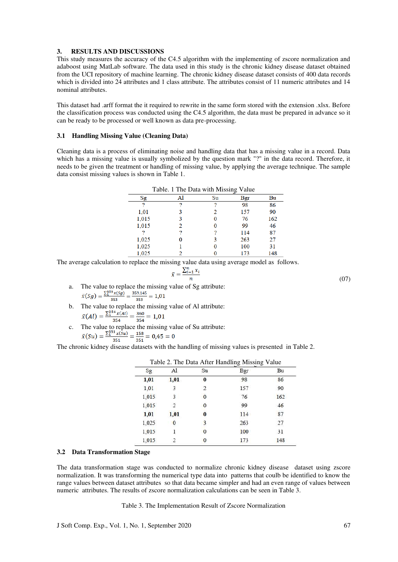#### **3. RESULTS AND DISCUSSIONS**

This study measures the accuracy of the C4.5 algorithm with the implementing of zscore normalization and adaboost using MatLab software. The data used in this study is the chronic kidney disease dataset obtained from the UCI repository of machine learning. The chronic kidney disease dataset consists of 400 data records which is divided into 24 attributes and 1 class attribute. The attributes consist of 11 numeric attributes and 14 nominal attributes.

This dataset had .arff format the it required to rewrite in the same form stored with the extension .xlsx. Before the classification process was conducted using the C4.5 algorithm, the data must be prepared in advance so it can be ready to be processed or well known as data pre-processing.

### **3.1 Handling Missing Value (Cleaning Data)**

Cleaning data is a process of eliminating noise and handling data that has a missing value in a record. Data which has a missing value is usually symbolized by the question mark "?" in the data record. Therefore, it needs to be given the treatment or handling of missing value, by applying the average technique. The sample data consist missing values is shown in Table 1.

|       | Table. 1 The Data with Missing Value |    |     |     |
|-------|--------------------------------------|----|-----|-----|
| Sg    | Al                                   | Su | Bgr | Bu  |
| 2     | ?                                    | 2  | 98  | 86  |
| 1,01  | 3                                    | 2  | 157 | 90  |
| 1,015 | 3                                    |    | 76  | 162 |
| 1,015 | 2                                    | 0  | 99  | 46  |
|       | ?                                    |    | 114 | 87  |
| 1,025 | 0                                    | 3  | 263 | 27  |
| 1,025 |                                      |    | 100 | 31  |
| 1,025 |                                      |    | 173 | 148 |

The average calculation to replace the missing value data using average model as follows.

$$
\bar{x} = \frac{\sum_{i=1}^{n} x_i}{n} \tag{07}
$$

- a. The value to replace the missing value of Sg attribute:<br> $\bar{x}(Sg) = \frac{\sum_{i=1}^{353} x(Sg)}{353} = \frac{359,145}{353} = 1,01$
- b. The value to replace the missing value of Al attribute:<br> $\bar{x}(Al) = \frac{\sum_{i=1}^{354} x(Al)}{354} = \frac{360}{354} = 1,01$
- c. The value to replace the missing value of Su attribute:<br> $\bar{x}(Su) = \frac{\sum_{i=1}^{351} x(su)}{351} = \frac{158}{351} = 0,45 = 0$

The chronic kidney disease datasets with the handling of missing values is presented in Table 2.

| Sg    | Al            | Su       | Bgr | Bu  |
|-------|---------------|----------|-----|-----|
| 1,01  | 1,01          | $\bf{0}$ | 98  | 86  |
| 1,01  | 3             | 2        | 157 | 90  |
| 1,015 | 3             | $\bf{0}$ | 76  | 162 |
| 1,015 | $\mathcal{D}$ | $\Omega$ | 99  | 46  |
| 1,01  | 1,01          | 0        | 114 | 87  |
| 1,025 | 0             | 3        | 263 | 27  |
| 1,015 | 1             | $\Omega$ | 100 | 31  |
| 1,015 | 2             | 0        | 173 | 148 |

# **3.2 Data Transformation Stage**

The data transformation stage was conducted to normalize chronic kidney disease dataset using zscore normalization. It was transforming the numerical type data into patterns that coulb be identified to know the range values between dataset attributes so that data became simpler and had an even range of values between numeric attributes. The results of zscore normalization calculations can be seen in Table 3.

Table 3. The Implementation Result of Zscore Normalization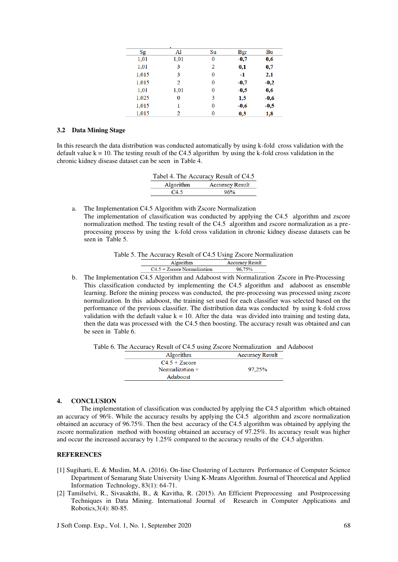|       | -        |    |        |        |
|-------|----------|----|--------|--------|
| Sg    | Al       | Su | Bgr    | Bu     |
| 1,01  | 1,01     | 0  | $-0,7$ | 0,6    |
| 1,01  | 3        | 2  | 0,1    | 0,7    |
| 1,015 | 3        | 0  | $-1$   | 2,1    |
| 1,015 | 2        | 0  | $-0,7$ | $-0,2$ |
| 1,01  | 1,01     | 0  | $-0,5$ | 0,6    |
| 1,025 | $\bf{0}$ | 3  | 1,5    | $-0.6$ |
| 1,015 | 1        | 0  | $-0,6$ | $-0,5$ |
| 1,015 | 2        | 0  | 0,3    | 1,8    |

#### **3.2 Data Mining Stage**

In this research the data distribution was conducted automatically by using k-fold cross validation with the default value  $k = 10$ . The testing result of the C4.5 algorithm by using the k-fold cross validation in the chronic kidney disease dataset can be seen in Table 4.

| Tabel 4. The Accuracy Result of C4.5 |                        |  |  |
|--------------------------------------|------------------------|--|--|
| Algorithm                            | <b>Accuracy Result</b> |  |  |
| C45                                  | 96%                    |  |  |

a. The Implementation C4.5 Algorithm with Zscore Normalization The implementation of classification was conducted by applying the C4.5 algorithm and zscore normalization method. The testing result of the C4.5 algorithm and zscore normalization as a preprocessing process by using the k-fold cross validation in chronic kidney disease datasets can be

seen in Table 5.

Table 5. The Accuracy Result of C4.5 Using Zscore Normalization

| Algorithm                     | <b>Accuracy Result</b> |
|-------------------------------|------------------------|
| $C4.5 + Zscore Normalization$ |                        |

b. The Implementation C4.5 Algorithm and Adaboost with Normalization Zscore in Pre-Processing This classification conducted by implementing the C4.5 algorithm and adaboost as ensemble learning. Before the mining process was conducted, the pre-processing was processed using zscore normalization. In this adaboost, the training set used for each classifier was selected based on the performance of the previous classifier. The distribution data was conducted by using k-fold cross validation with the default value  $k = 10$ . After the data was divided into training and testing data, then the data was processed with the C4.5 then boosting. The accuracy result was obtained and can be seen in Table 6.

Table 6. The Accuracy Result of C4.5 using Zscore Normalization and Adaboost

| Algorithm         | <b>Accuracy Result</b> |
|-------------------|------------------------|
| $C4.5 + Zscore$   |                        |
| Normalization $+$ | 97.25%                 |
| Adaboost          |                        |

#### **4. CONCLUSION**

The implementation of classification was conducted by applying the C4.5 algorithm which obtained an accuracy of 96%. While the accuracy results by applying the C4.5 algorithm and zscore normalization obtained an accuracy of 96.75%. Then the best accuracy of the C4.5 algorithm was obtained by applying the zscore normalization method with boosting obtained an accuracy of 97.25%. Its accuracy result was higher and occur the increased accuracy by 1.25% compared to the accuracy results of the C4.5 algorithm.

#### **REFERENCES**

- [1] Sugiharti, E. & Muslim, M.A. (2016). On-line Clustering of Lecturers Performance of Computer Science Department of Semarang State University Using K-Means Algorithm. Journal of Theoretical and Applied Information Technology, 83(1): 64-71.
- [2] Tamilselvi, R., Sivasakthi, B., & Kavitha, R. (2015). An Efficient Preprocessing and Postprocessing Techniques in Data Mining. International Journal of Research in Computer Applications and Robotics,3(4): 80-85.